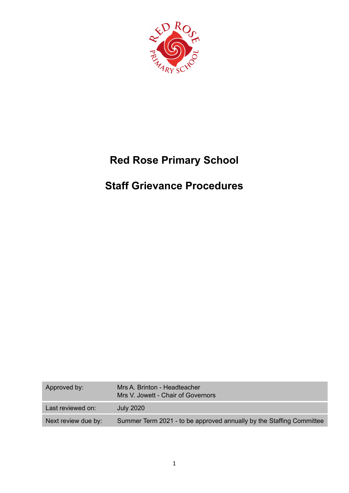

# **Red Rose Primary School**

# **Staff Grievance Procedures**

| Approved by:        | Mrs A. Brinton - Headteacher<br>Mrs V. Jowett - Chair of Governors   |
|---------------------|----------------------------------------------------------------------|
| Last reviewed on:   | <b>July 2020</b>                                                     |
| Next review due by: | Summer Term 2021 - to be approved annually by the Staffing Committee |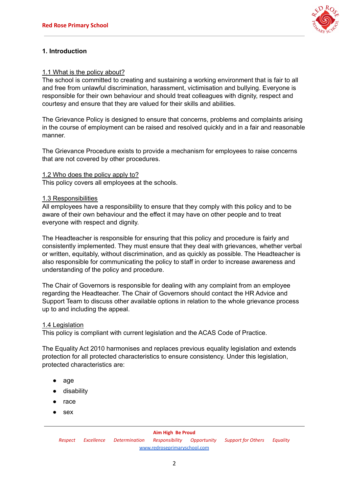

# **1. Introduction**

## 1.1 What is the policy about?

The school is committed to creating and sustaining a working environment that is fair to all and free from unlawful discrimination, harassment, victimisation and bullying. Everyone is responsible for their own behaviour and should treat colleagues with dignity, respect and courtesy and ensure that they are valued for their skills and abilities.

The Grievance Policy is designed to ensure that concerns, problems and complaints arising in the course of employment can be raised and resolved quickly and in a fair and reasonable manner.

The Grievance Procedure exists to provide a mechanism for employees to raise concerns that are not covered by other procedures.

#### 1.2 Who does the policy apply to?

This policy covers all employees at the schools.

#### 1.3 Responsibilities

All employees have a responsibility to ensure that they comply with this policy and to be aware of their own behaviour and the effect it may have on other people and to treat everyone with respect and dignity.

The Headteacher is responsible for ensuring that this policy and procedure is fairly and consistently implemented. They must ensure that they deal with grievances, whether verbal or written, equitably, without discrimination, and as quickly as possible. The Headteacher is also responsible for communicating the policy to staff in order to increase awareness and understanding of the policy and procedure.

The Chair of Governors is responsible for dealing with any complaint from an employee regarding the Headteacher. The Chair of Governors should contact the HR Advice and Support Team to discuss other available options in relation to the whole grievance process up to and including the appeal.

#### 1.4 Legislation

This policy is compliant with current legislation and the ACAS Code of Practice.

The Equality Act 2010 harmonises and replaces previous equality legislation and extends protection for all protected characteristics to ensure consistency. Under this legislation, protected characteristics are:

- age
- disability
- race
- sex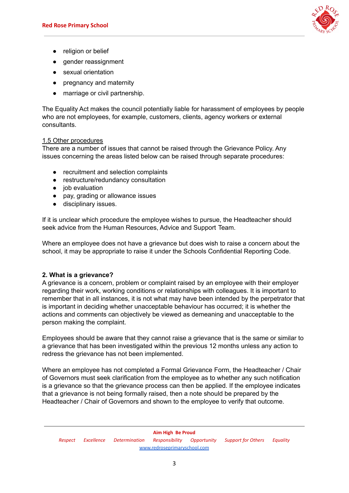

- religion or belief
- gender reassignment
- sexual orientation
- pregnancy and maternity
- marriage or civil partnership.

The Equality Act makes the council potentially liable for harassment of employees by people who are not employees, for example, customers, clients, agency workers or external consultants.

# 1.5 Other procedures

There are a number of issues that cannot be raised through the Grievance Policy. Any issues concerning the areas listed below can be raised through separate procedures:

- recruitment and selection complaints
- restructure/redundancy consultation
- job evaluation
- pay, grading or allowance issues
- disciplinary issues.

If it is unclear which procedure the employee wishes to pursue, the Headteacher should seek advice from the Human Resources, Advice and Support Team.

Where an employee does not have a grievance but does wish to raise a concern about the school, it may be appropriate to raise it under the Schools Confidential Reporting Code.

# **2. What is a grievance?**

A grievance is a concern, problem or complaint raised by an employee with their employer regarding their work, working conditions or relationships with colleagues. It is important to remember that in all instances, it is not what may have been intended by the perpetrator that is important in deciding whether unacceptable behaviour has occurred; it is whether the actions and comments can objectively be viewed as demeaning and unacceptable to the person making the complaint.

Employees should be aware that they cannot raise a grievance that is the same or similar to a grievance that has been investigated within the previous 12 months unless any action to redress the grievance has not been implemented.

Where an employee has not completed a Formal Grievance Form, the Headteacher / Chair of Governors must seek clarification from the employee as to whether any such notification is a grievance so that the grievance process can then be applied. If the employee indicates that a grievance is not being formally raised, then a note should be prepared by the Headteacher / Chair of Governors and shown to the employee to verify that outcome.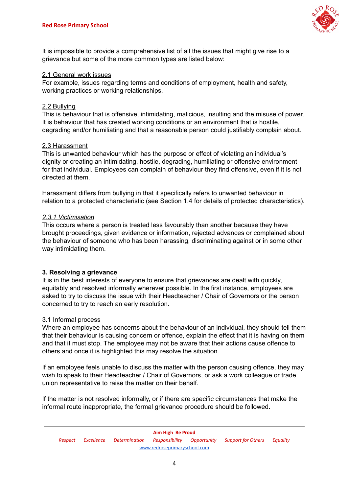

It is impossible to provide a comprehensive list of all the issues that might give rise to a grievance but some of the more common types are listed below:

#### 2.1 General work issues

For example, issues regarding terms and conditions of employment, health and safety, working practices or working relationships.

#### 2.2 Bullying

This is behaviour that is offensive, intimidating, malicious, insulting and the misuse of power. It is behaviour that has created working conditions or an environment that is hostile, degrading and/or humiliating and that a reasonable person could justifiably complain about.

#### 2.3 Harassment

This is unwanted behaviour which has the purpose or effect of violating an individual's dignity or creating an intimidating, hostile, degrading, humiliating or offensive environment for that individual. Employees can complain of behaviour they find offensive, even if it is not directed at them.

Harassment differs from bullying in that it specifically refers to unwanted behaviour in relation to a protected characteristic (see Section 1.4 for details of protected characteristics).

#### *2.3.1 Victimisation*

This occurs where a person is treated less favourably than another because they have brought proceedings, given evidence or information, rejected advances or complained about the behaviour of someone who has been harassing, discriminating against or in some other way intimidating them.

## **3. Resolving a grievance**

It is in the best interests of everyone to ensure that grievances are dealt with quickly, equitably and resolved informally wherever possible. In the first instance, employees are asked to try to discuss the issue with their Headteacher / Chair of Governors or the person concerned to try to reach an early resolution.

## 3.1 Informal process

Where an employee has concerns about the behaviour of an individual, they should tell them that their behaviour is causing concern or offence, explain the effect that it is having on them and that it must stop. The employee may not be aware that their actions cause offence to others and once it is highlighted this may resolve the situation.

If an employee feels unable to discuss the matter with the person causing offence, they may wish to speak to their Headteacher / Chair of Governors, or ask a work colleague or trade union representative to raise the matter on their behalf.

If the matter is not resolved informally, or if there are specific circumstances that make the informal route inappropriate, the formal grievance procedure should be followed.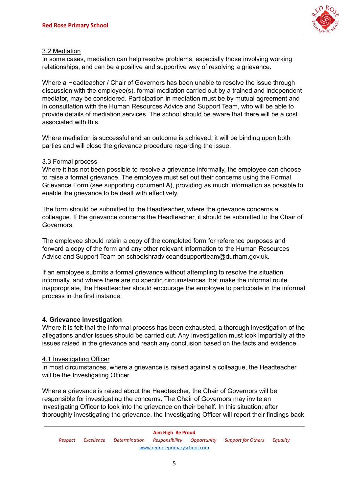

# 3.2 Mediation

In some cases, mediation can help resolve problems, especially those involving working relationships, and can be a positive and supportive way of resolving a grievance.

Where a Headteacher / Chair of Governors has been unable to resolve the issue through discussion with the employee(s), formal mediation carried out by a trained and independent mediator, may be considered. Participation in mediation must be by mutual agreement and in consultation with the Human Resources Advice and Support Team, who will be able to provide details of mediation services. The school should be aware that there will be a cost associated with this.

Where mediation is successful and an outcome is achieved, it will be binding upon both parties and will close the grievance procedure regarding the issue.

## 3.3 Formal process

Where it has not been possible to resolve a grievance informally, the employee can choose to raise a formal grievance. The employee must set out their concerns using the Formal Grievance Form (see supporting document A), providing as much information as possible to enable the grievance to be dealt with effectively.

The form should be submitted to the Headteacher, where the grievance concerns a colleague. If the grievance concerns the Headteacher, it should be submitted to the Chair of Governors.

The employee should retain a copy of the completed form for reference purposes and forward a copy of the form and any other relevant information to the Human Resources Advice and Support Team on schoolshradviceandsupportteam@durham.gov.uk.

If an employee submits a formal grievance without attempting to resolve the situation informally, and where there are no specific circumstances that make the informal route inappropriate, the Headteacher should encourage the employee to participate in the informal process in the first instance.

## **4. Grievance investigation**

Where it is felt that the informal process has been exhausted, a thorough investigation of the allegations and/or issues should be carried out. Any investigation must look impartially at the issues raised in the grievance and reach any conclusion based on the facts and evidence.

## 4.1 Investigating Officer

In most circumstances, where a grievance is raised against a colleague, the Headteacher will be the Investigating Officer.

Where a grievance is raised about the Headteacher, the Chair of Governors will be responsible for investigating the concerns. The Chair of Governors may invite an Investigating Officer to look into the grievance on their behalf. In this situation, after thoroughly investigating the grievance, the Investigating Officer will report their findings back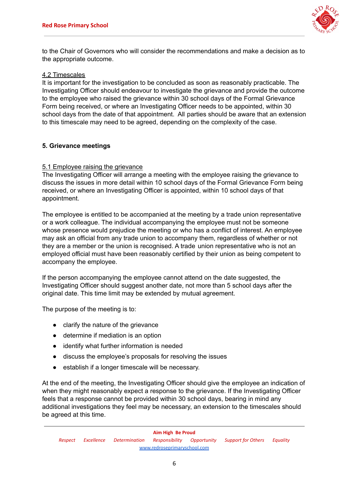

to the Chair of Governors who will consider the recommendations and make a decision as to the appropriate outcome.

## 4.2 Timescales

It is important for the investigation to be concluded as soon as reasonably practicable. The Investigating Officer should endeavour to investigate the grievance and provide the outcome to the employee who raised the grievance within 30 school days of the Formal Grievance Form being received, or where an Investigating Officer needs to be appointed, within 30 school days from the date of that appointment. All parties should be aware that an extension to this timescale may need to be agreed, depending on the complexity of the case.

## **5. Grievance meetings**

## 5.1 Employee raising the grievance

The Investigating Officer will arrange a meeting with the employee raising the grievance to discuss the issues in more detail within 10 school days of the Formal Grievance Form being received, or where an Investigating Officer is appointed, within 10 school days of that appointment.

The employee is entitled to be accompanied at the meeting by a trade union representative or a work colleague. The individual accompanying the employee must not be someone whose presence would prejudice the meeting or who has a conflict of interest. An employee may ask an official from any trade union to accompany them, regardless of whether or not they are a member or the union is recognised. A trade union representative who is not an employed official must have been reasonably certified by their union as being competent to accompany the employee.

If the person accompanying the employee cannot attend on the date suggested, the Investigating Officer should suggest another date, not more than 5 school days after the original date. This time limit may be extended by mutual agreement.

The purpose of the meeting is to:

- clarify the nature of the grievance
- determine if mediation is an option
- identify what further information is needed
- discuss the employee's proposals for resolving the issues
- establish if a longer timescale will be necessary.

At the end of the meeting, the Investigating Officer should give the employee an indication of when they might reasonably expect a response to the grievance. If the Investigating Officer feels that a response cannot be provided within 30 school days, bearing in mind any additional investigations they feel may be necessary, an extension to the timescales should be agreed at this time.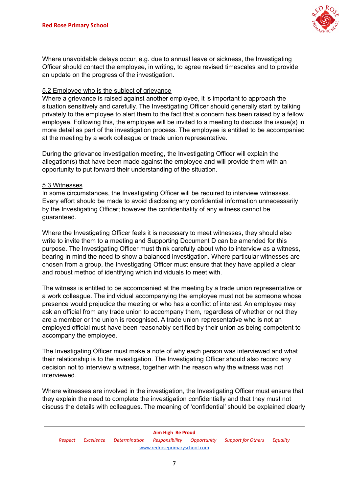

Where unavoidable delays occur, e.g. due to annual leave or sickness, the Investigating Officer should contact the employee, in writing, to agree revised timescales and to provide an update on the progress of the investigation.

## 5.2 Employee who is the subject of grievance

Where a grievance is raised against another employee, it is important to approach the situation sensitively and carefully. The Investigating Officer should generally start by talking privately to the employee to alert them to the fact that a concern has been raised by a fellow employee. Following this, the employee will be invited to a meeting to discuss the issue(s) in more detail as part of the investigation process. The employee is entitled to be accompanied at the meeting by a work colleague or trade union representative.

During the grievance investigation meeting, the Investigating Officer will explain the allegation(s) that have been made against the employee and will provide them with an opportunity to put forward their understanding of the situation.

## 5.3 Witnesses

In some circumstances, the Investigating Officer will be required to interview witnesses. Every effort should be made to avoid disclosing any confidential information unnecessarily by the Investigating Officer; however the confidentiality of any witness cannot be guaranteed.

Where the Investigating Officer feels it is necessary to meet witnesses, they should also write to invite them to a meeting and Supporting Document D can be amended for this purpose. The Investigating Officer must think carefully about who to interview as a witness, bearing in mind the need to show a balanced investigation. Where particular witnesses are chosen from a group, the Investigating Officer must ensure that they have applied a clear and robust method of identifying which individuals to meet with.

The witness is entitled to be accompanied at the meeting by a trade union representative or a work colleague. The individual accompanying the employee must not be someone whose presence would prejudice the meeting or who has a conflict of interest. An employee may ask an official from any trade union to accompany them, regardless of whether or not they are a member or the union is recognised. A trade union representative who is not an employed official must have been reasonably certified by their union as being competent to accompany the employee.

The Investigating Officer must make a note of why each person was interviewed and what their relationship is to the investigation. The Investigating Officer should also record any decision not to interview a witness, together with the reason why the witness was not interviewed.

Where witnesses are involved in the investigation, the Investigating Officer must ensure that they explain the need to complete the investigation confidentially and that they must not discuss the details with colleagues. The meaning of 'confidential' should be explained clearly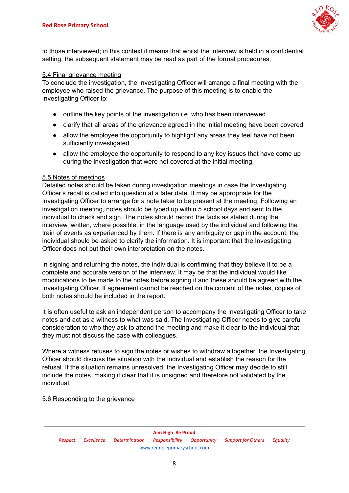

to those interviewed; in this context it means that whilst the interview is held in a confidential setting, the subsequent statement may be read as part of the formal procedures.

#### 5.4 Final grievance meeting

To conclude the investigation, the Investigating Officer will arrange a final meeting with the employee who raised the grievance. The purpose of this meeting is to enable the Investigating Officer to:

- outline the key points of the investigation i.e. who has been interviewed
- clarify that all areas of the grievance agreed in the initial meeting have been covered
- allow the employee the opportunity to highlight any areas they feel have not been sufficiently investigated
- allow the employee the opportunity to respond to any key issues that have come up during the investigation that were not covered at the initial meeting.

#### 5.5 Notes of meetings

Detailed notes should be taken during investigation meetings in case the Investigating Officer's recall is called into question at a later date. It may be appropriate for the Investigating Officer to arrange for a note taker to be present at the meeting. Following an investigation meeting, notes should be typed up within 5 school days and sent to the individual to check and sign. The notes should record the facts as stated during the interview, written, where possible, in the language used by the individual and following the train of events as experienced by them. If there is any ambiguity or gap in the account, the individual should be asked to clarify the information. It is important that the Investigating Officer does not put their own interpretation on the notes.

In signing and returning the notes, the individual is confirming that they believe it to be a complete and accurate version of the interview. It may be that the individual would like modifications to be made to the notes before signing it and these should be agreed with the Investigating Officer. If agreement cannot be reached on the content of the notes, copies of both notes should be included in the report.

It is often useful to ask an independent person to accompany the Investigating Officer to take notes and act as a witness to what was said. The Investigating Officer needs to give careful consideration to who they ask to attend the meeting and make it clear to the individual that they must not discuss the case with colleagues.

Where a witness refuses to sign the notes or wishes to withdraw altogether, the Investigating Officer should discuss the situation with the individual and establish the reason for the refusal. If the situation remains unresolved, the Investigating Officer may decide to still include the notes, making it clear that it is unsigned and therefore not validated by the individual.

#### 5.6 Responding to the grievance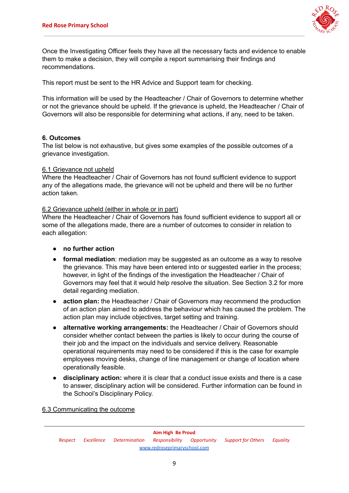

Once the Investigating Officer feels they have all the necessary facts and evidence to enable them to make a decision, they will compile a report summarising their findings and recommendations.

This report must be sent to the HR Advice and Support team for checking.

This information will be used by the Headteacher / Chair of Governors to determine whether or not the grievance should be upheld. If the grievance is upheld, the Headteacher / Chair of Governors will also be responsible for determining what actions, if any, need to be taken.

## **6. Outcomes**

The list below is not exhaustive, but gives some examples of the possible outcomes of a grievance investigation.

#### 6.1 Grievance not upheld

Where the Headteacher / Chair of Governors has not found sufficient evidence to support any of the allegations made, the grievance will not be upheld and there will be no further action taken.

#### 6.2 Grievance upheld (either in whole or in part)

Where the Headteacher / Chair of Governors has found sufficient evidence to support all or some of the allegations made, there are a number of outcomes to consider in relation to each allegation:

- **● no further action**
- **formal mediation**: mediation may be suggested as an outcome as a way to resolve the grievance. This may have been entered into or suggested earlier in the process; however, in light of the findings of the investigation the Headteacher / Chair of Governors may feel that it would help resolve the situation. See Section 3.2 for more detail regarding mediation.
- **action plan:** the Headteacher / Chair of Governors may recommend the production of an action plan aimed to address the behaviour which has caused the problem. The action plan may include objectives, target setting and training.
- **alternative working arrangements:** the Headteacher / Chair of Governors should consider whether contact between the parties is likely to occur during the course of their job and the impact on the individuals and service delivery. Reasonable operational requirements may need to be considered if this is the case for example employees moving desks, change of line management or change of location where operationally feasible.
- **disciplinary action:** where it is clear that a conduct issue exists and there is a case to answer, disciplinary action will be considered. Further information can be found in the School's Disciplinary Policy.

6.3 Communicating the outcome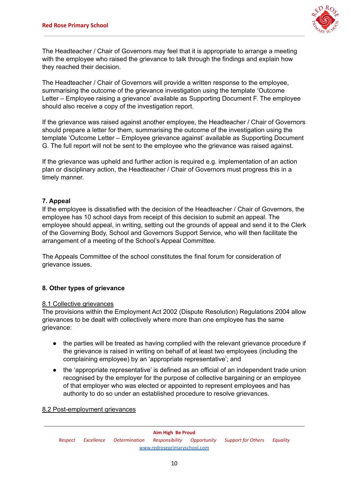

The Headteacher / Chair of Governors may feel that it is appropriate to arrange a meeting with the employee who raised the grievance to talk through the findings and explain how they reached their decision.

The Headteacher / Chair of Governors will provide a written response to the employee, summarising the outcome of the grievance investigation using the template 'Outcome Letter – Employee raising a grievance' available as Supporting Document F. The employee should also receive a copy of the investigation report.

If the grievance was raised against another employee, the Headteacher / Chair of Governors should prepare a letter for them, summarising the outcome of the investigation using the template 'Outcome Letter – Employee grievance against' available as Supporting Document G. The full report will not be sent to the employee who the grievance was raised against.

If the grievance was upheld and further action is required e.g. implementation of an action plan or disciplinary action, the Headteacher / Chair of Governors must progress this in a timely manner.

# **7. Appeal**

If the employee is dissatisfied with the decision of the Headteacher / Chair of Governors, the employee has 10 school days from receipt of this decision to submit an appeal. The employee should appeal, in writing, setting out the grounds of appeal and send it to the Clerk of the Governing Body, School and Governors Support Service, who will then facilitate the arrangement of a meeting of the School's Appeal Committee.

The Appeals Committee of the school constitutes the final forum for consideration of grievance issues.

# **8. Other types of grievance**

## 8.1 Collective grievances

The provisions within the Employment Act 2002 (Dispute Resolution) Regulations 2004 allow grievances to be dealt with collectively where more than one employee has the same grievance:

- the parties will be treated as having complied with the relevant grievance procedure if the grievance is raised in writing on behalf of at least two employees (including the complaining employee) by an 'appropriate representative'; and
- the 'appropriate representative' is defined as an official of an independent trade union recognised by the employer for the purpose of collective bargaining or an employee of that employer who was elected or appointed to represent employees and has authority to do so under an established procedure to resolve grievances.

#### 8.2 Post-employment grievances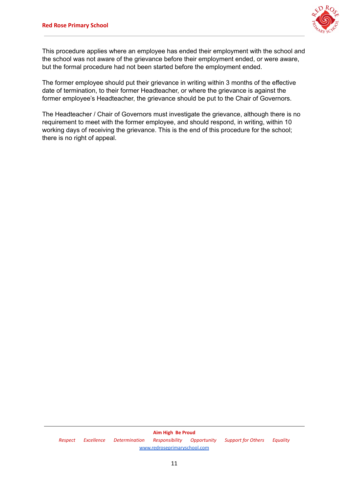

This procedure applies where an employee has ended their employment with the school and the school was not aware of the grievance before their employment ended, or were aware, but the formal procedure had not been started before the employment ended.

The former employee should put their grievance in writing within 3 months of the effective date of termination, to their former Headteacher, or where the grievance is against the former employee's Headteacher, the grievance should be put to the Chair of Governors.

The Headteacher / Chair of Governors must investigate the grievance, although there is no requirement to meet with the former employee, and should respond, in writing, within 10 working days of receiving the grievance. This is the end of this procedure for the school; there is no right of appeal.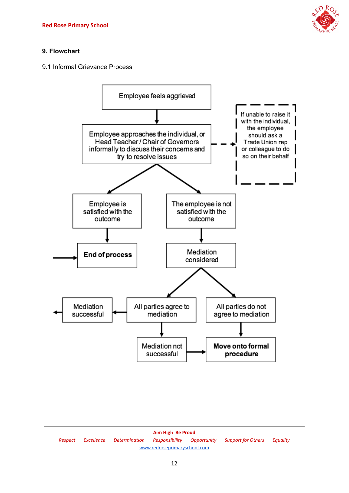

# **9. Flowchart**

# 9.1 Informal Grievance Process



**Aim High Be Proud** *Respect Excellence Determination Responsibility Opportunity Support for Others Equality* [www.redroseprimaryschool.com](http://www.redroseprimaryschool.com)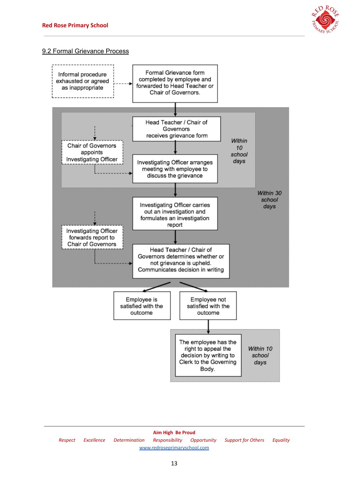

# 9.2 Formal Grievance Process



**Aim High Be Proud** *Respect Excellence Determination Responsibility Opportunity Support for Others Equality* [www.redroseprimaryschool.com](http://www.redroseprimaryschool.com)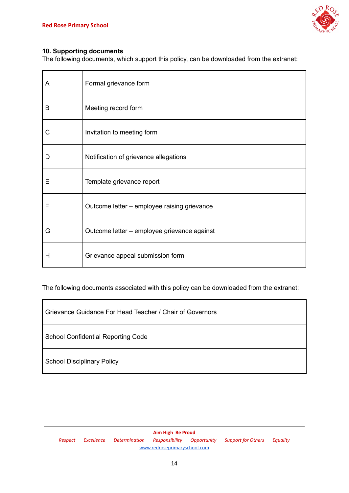

# **10. Supporting documents**

The following documents, which support this policy, can be downloaded from the extranet:

| A | Formal grievance form                       |
|---|---------------------------------------------|
| B | Meeting record form                         |
| С | Invitation to meeting form                  |
| D | Notification of grievance allegations       |
| E | Template grievance report                   |
| F | Outcome letter - employee raising grievance |
| G | Outcome letter - employee grievance against |
| н | Grievance appeal submission form            |

The following documents associated with this policy can be downloaded from the extranet:

Grievance Guidance For Head Teacher / Chair of Governors

School Confidential Reporting Code

School Disciplinary Policy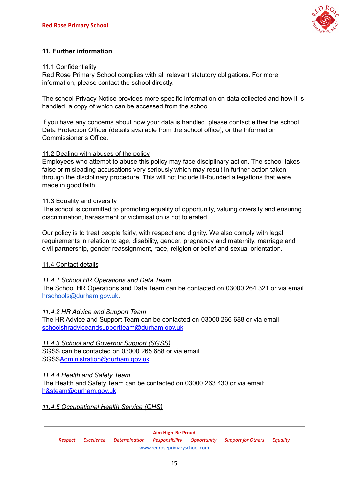

# **11. Further information**

#### 11.1 Confidentiality

Red Rose Primary School complies with all relevant statutory obligations. For more information, please contact the school directly.

The school Privacy Notice provides more specific information on data collected and how it is handled, a copy of which can be accessed from the school.

If you have any concerns about how your data is handled, please contact either the school Data Protection Officer (details available from the school office), or the Information Commissioner's Office.

#### 11.2 Dealing with abuses of the policy

Employees who attempt to abuse this policy may face disciplinary action. The school takes false or misleading accusations very seriously which may result in further action taken through the disciplinary procedure. This will not include ill-founded allegations that were made in good faith.

#### 11.3 Equality and diversity

The school is committed to promoting equality of opportunity, valuing diversity and ensuring discrimination, harassment or victimisation is not tolerated.

Our policy is to treat people fairly, with respect and dignity. We also comply with legal requirements in relation to age, disability, gender, pregnancy and maternity, marriage and civil partnership, gender reassignment, race, religion or belief and sexual orientation.

## 11.4 Contact details

## *11.4.1 School HR Operations and Data Team*

The School HR Operations and Data Team can be contacted on 03000 264 321 or via email [hrschools@durham.gov.uk](mailto:hrschools@durham.gov.uk).

#### *11.4.2 HR Advice and Support Team*

The HR Advice and Support Team can be contacted on 03000 266 688 or via email schoolshradviceandsupportteam@durham.gov.uk

## *11.4.3 School and Governor Support (SGSS)*

SGSS can be contacted on 03000 265 688 or via email SGSSAdministration@durham.gov.uk

## *11.4.4 Health and Safety Team*

The Health and Safety Team can be contacted on 03000 263 430 or via email: h&steam@durham.gov.uk

#### *11.4.5 Occupational Health Service (OHS)*